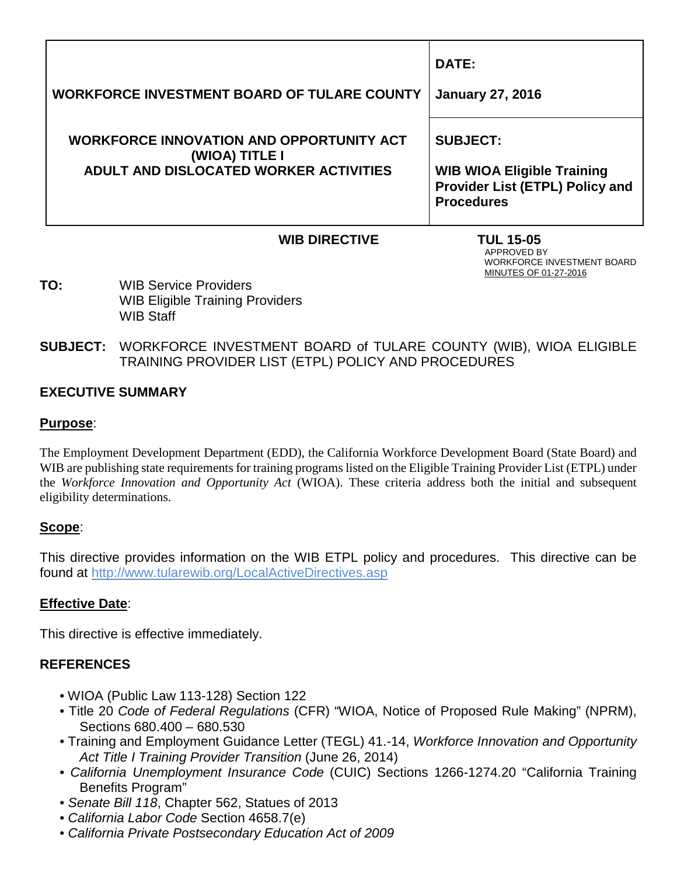| <b>WORKFORCE INVESTMENT BOARD OF TULARE COUNTY</b>                                                          | DATE:<br><b>January 27, 2016</b>                                                                             |
|-------------------------------------------------------------------------------------------------------------|--------------------------------------------------------------------------------------------------------------|
| <b>WORKFORCE INNOVATION AND OPPORTUNITY ACT</b><br>(WIOA) TITLE I<br>ADULT AND DISLOCATED WORKER ACTIVITIES | <b>SUBJECT:</b><br><b>WIB WIOA Eligible Training</b><br>Provider List (ETPL) Policy and<br><b>Procedures</b> |

# **WIB DIRECTIVE TUL 15-05**<br>APPROVED BY

 APPROVED BY WORKFORCE INVESTMENT BOARD MINUTES OF 01-27-2016

- **TO:** WIB Service Providers WIB Eligible Training Providers WIB Staff
- **SUBJECT:** WORKFORCE INVESTMENT BOARD of TULARE COUNTY (WIB), WIOA ELIGIBLE TRAINING PROVIDER LIST (ETPL) POLICY AND PROCEDURES

#### **EXECUTIVE SUMMARY**

#### **Purpose**:

The Employment Development Department (EDD), the California Workforce Development Board (State Board) and WIB are publishing state requirements for training programs listed on the Eligible Training Provider List (ETPL) under the *Workforce Innovation and Opportunity Act* (WIOA). These criteria address both the initial and subsequent eligibility determinations.

#### **Scope**:

This directive provides information on the WIB ETPL policy and procedures. This directive can be found at<http://www.tularewib.org/LocalActiveDirectives.asp>

#### **Effective Date**:

This directive is effective immediately.

## **REFERENCES**

- WIOA (Public Law 113-128) Section 122
- Title 20 *Code of Federal Regulations* (CFR) "WIOA, Notice of Proposed Rule Making" (NPRM), Sections 680.400 – 680.530
- Training and Employment Guidance Letter (TEGL) 41.-14, *Workforce Innovation and Opportunity Act Title I Training Provider Transition* (June 26, 2014)
- *California Unemployment Insurance Code* (CUIC) Sections 1266-1274.20 "California Training Benefits Program"
- *Senate Bill 118*, Chapter 562, Statues of 2013
- *California Labor Code* Section 4658.7(e)
- *California Private Postsecondary Education Act of 2009*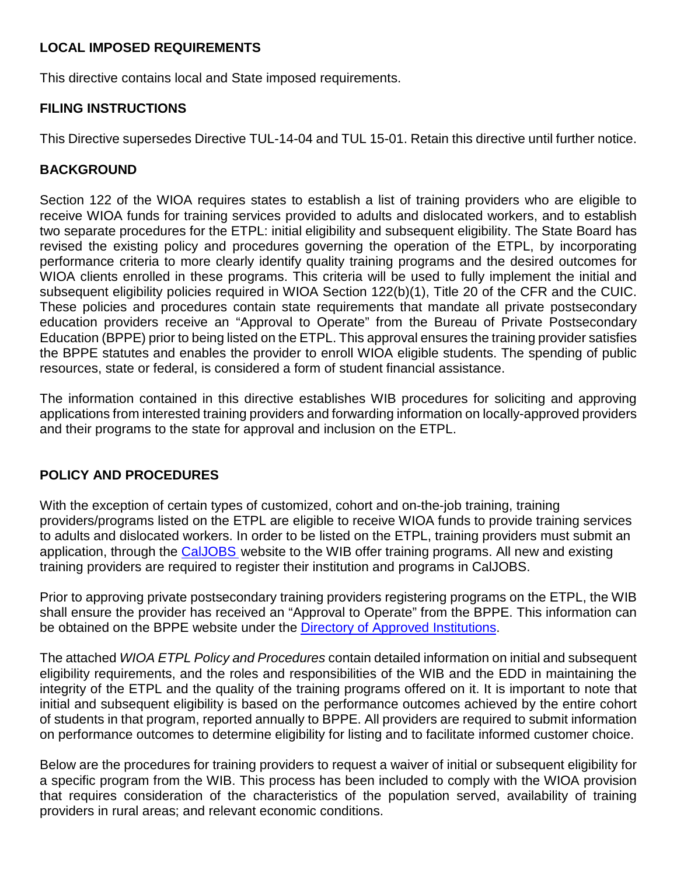### **LOCAL IMPOSED REQUIREMENTS**

This directive contains local and State imposed requirements.

### **FILING INSTRUCTIONS**

This Directive supersedes Directive TUL-14-04 and TUL 15-01. Retain this directive until further notice.

### **BACKGROUND**

Section 122 of the WIOA requires states to establish a list of training providers who are eligible to receive WIOA funds for training services provided to adults and dislocated workers, and to establish two separate procedures for the ETPL: initial eligibility and subsequent eligibility. The State Board has revised the existing policy and procedures governing the operation of the ETPL, by incorporating performance criteria to more clearly identify quality training programs and the desired outcomes for WIOA clients enrolled in these programs. This criteria will be used to fully implement the initial and subsequent eligibility policies required in WIOA Section 122(b)(1), Title 20 of the CFR and the CUIC. These policies and procedures contain state requirements that mandate all private postsecondary education providers receive an "Approval to Operate" from the Bureau of Private Postsecondary Education (BPPE) prior to being listed on the ETPL. This approval ensures the training provider satisfies the BPPE statutes and enables the provider to enroll WIOA eligible students. The spending of public resources, state or federal, is considered a form of student financial assistance.

The information contained in this directive establishes WIB procedures for soliciting and approving applications from interested training providers and forwarding information on locally-approved providers and their programs to the state for approval and inclusion on the ETPL.

#### **POLICY AND PROCEDURES**

With the exception of certain types of customized, cohort and on-the-job training, training providers/programs listed on the ETPL are eligible to receive WIOA funds to provide training services to adults and dislocated workers. In order to be listed on the ETPL, training providers must submit an application, through the [CalJOBS](http://www.edd.ca.gov/jobs_and_training/pubs/wsd15-07.pdf) website to the WIB offer training programs. All new and existing training providers are required to register their institution and programs in CalJOBS.

Prior to approving private postsecondary training providers registering programs on the ETPL, the WIB shall ensure the provider has received an "Approval to Operate" from the BPPE. This information can be obtained on the BPPE website under the [Directory of Approved Institutions.](http://www.edd.ca.gov/jobs_and_training/pubs/wsd15-07.pdf)

The attached *WIOA ETPL Policy and Procedures* contain detailed information on initial and subsequent eligibility requirements, and the roles and responsibilities of the WIB and the EDD in maintaining the integrity of the ETPL and the quality of the training programs offered on it. It is important to note that initial and subsequent eligibility is based on the performance outcomes achieved by the entire cohort of students in that program, reported annually to BPPE. All providers are required to submit information on performance outcomes to determine eligibility for listing and to facilitate informed customer choice.

Below are the procedures for training providers to request a waiver of initial or subsequent eligibility for a specific program from the WIB. This process has been included to comply with the WIOA provision that requires consideration of the characteristics of the population served, availability of training providers in rural areas; and relevant economic conditions.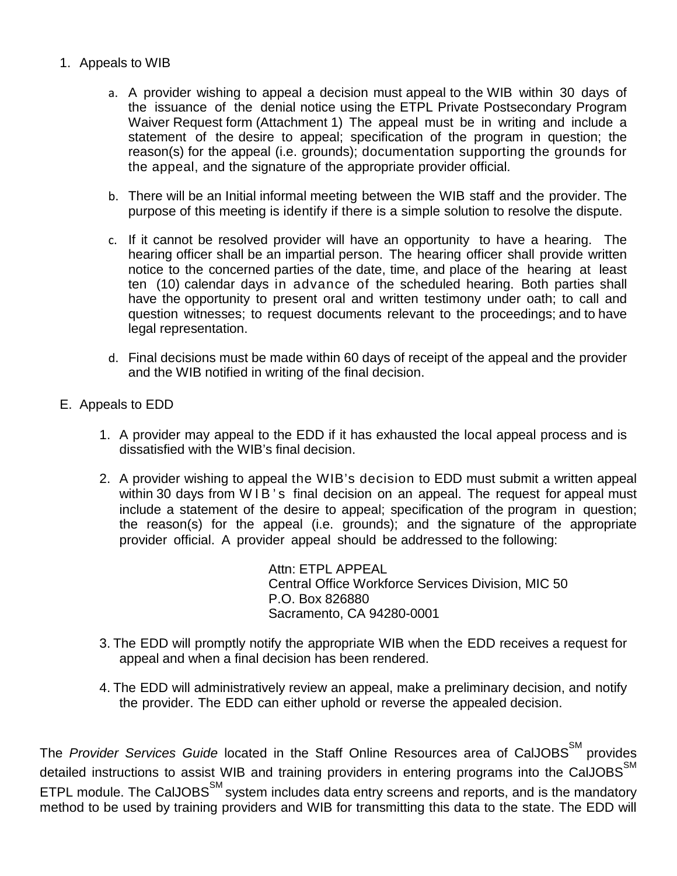#### 1. Appeals to WIB

- a. A provider wishing to appeal a decision must appeal to the WIB within 30 days of the issuance of the denial notice using the ETPL Private Postsecondary Program Waiver Request form (Attachment 1) The appeal must be in writing and include a statement of the desire to appeal; specification of the program in question; the reason(s) for the appeal (i.e. grounds); documentation supporting the grounds for the appeal, and the signature of the appropriate provider official.
- b. There will be an Initial informal meeting between the WIB staff and the provider. The purpose of this meeting is identify if there is a simple solution to resolve the dispute.
- c. If it cannot be resolved provider will have an opportunity to have a hearing. The hearing officer shall be an impartial person. The hearing officer shall provide written notice to the concerned parties of the date, time, and place of the hearing at least ten (10) calendar days in advance of the scheduled hearing. Both parties shall have the opportunity to present oral and written testimony under oath; to call and question witnesses; to request documents relevant to the proceedings; and to have legal representation.
- d. Final decisions must be made within 60 days of receipt of the appeal and the provider and the WIB notified in writing of the final decision.
- E. Appeals to EDD
	- 1. A provider may appeal to the EDD if it has exhausted the local appeal process and is dissatisfied with the WIB's final decision.
	- 2. A provider wishing to appeal the WIB's decision to EDD must submit a written appeal within 30 days from WIB's final decision on an appeal. The request for appeal must include a statement of the desire to appeal; specification of the program in question; the reason(s) for the appeal (i.e. grounds); and the signature of the appropriate provider official. A provider appeal should be addressed to the following:

Attn: ETPL APPEAL Central Office Workforce Services Division, MIC 50 P.O. Box 826880 Sacramento, CA 94280-0001

- 3. The EDD will promptly notify the appropriate WIB when the EDD receives a request for appeal and when a final decision has been rendered.
- 4. The EDD will administratively review an appeal, make a preliminary decision, and notify the provider. The EDD can either uphold or reverse the appealed decision.

The Provider Services Guide located in the Staff Online Resources area of CalJOBS<sup>SM</sup> provides detailed instructions to assist WIB and training providers in entering programs into the CalJOBS $^{\text{SM}}$ ETPL module. The CalJOBS<sup>SM</sup> system includes data entry screens and reports, and is the mandatory method to be used by training providers and WIB for transmitting this data to the state. The EDD will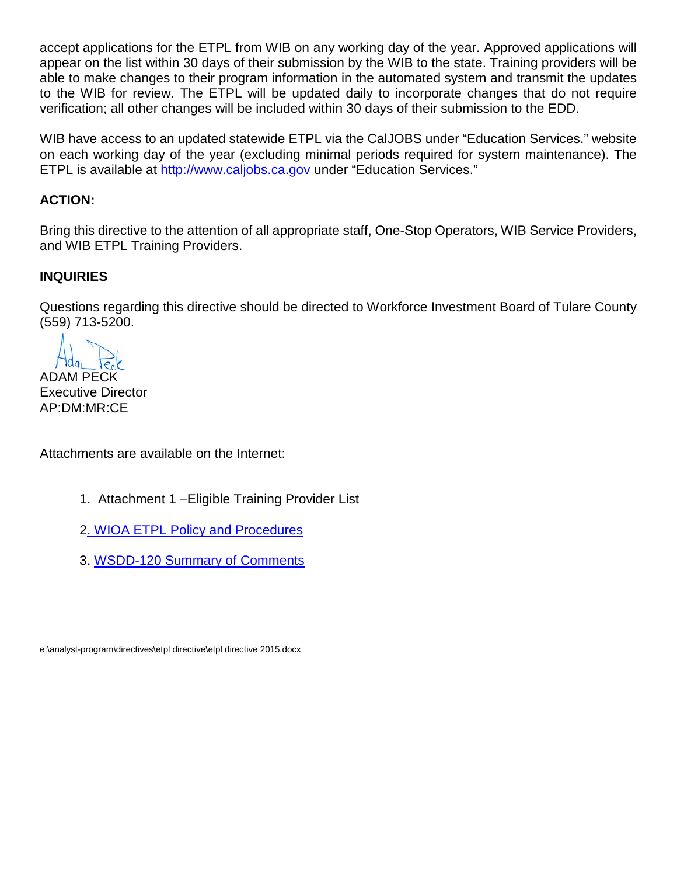accept applications for the ETPL from WIB on any working day of the year. Approved applications will appear on the list within 30 days of their submission by the WIB to the state. Training providers will be able to make changes to their program information in the automated system and transmit the updates to the WIB for review. The ETPL will be updated daily to incorporate changes that do not require verification; all other changes will be included within 30 days of their submission to the EDD.

WIB have access to an updated statewide ETPL via the CalJOBS under "Education Services." website on each working day of the year (excluding minimal periods required for system maintenance). The ETPL is available at [http://www.caljobs.ca.gov](http://www.caljobs.ca.gov/) under "Education Services."

## **ACTION:**

Bring this directive to the attention of all appropriate staff, One-Stop Operators, WIB Service Providers, and WIB ETPL Training Providers.

#### **INQUIRIES**

Questions regarding this directive should be directed to Workforce Investment Board of Tulare County (559) 713-5200.

ADAM PECK

Executive Director AP:DM:MR:CE

Attachments are available on the Internet:

- 1. Attachment 1 –Eligible Training Provider List
- [2. WIOA ETPL Policy and Procedures](http://www.edd.ca.gov/jobs_and_training/pubs/wsd15-07.pdf)
- 3. [WSDD-120 Summary of Comments](http://www.edd.ca.gov/jobs_and_training/pubs/wsd15-07.pdf)

e:\analyst-program\directives\etpl directive\etpl directive 2015.docx